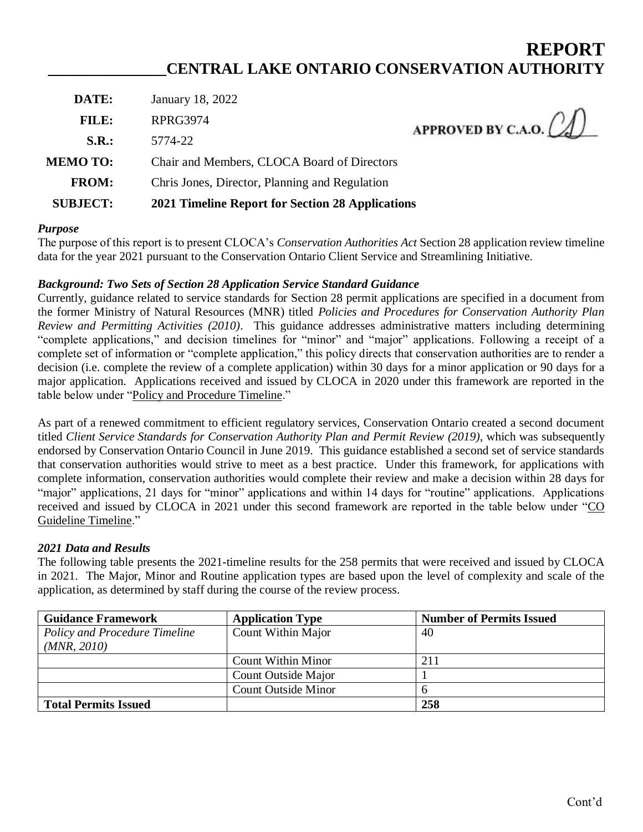# **REPORT \_\_\_\_\_\_\_\_\_\_\_\_\_\_\_CENTRAL LAKE ONTARIO CONSERVATION AUTHORITY**

| <b>SUBJECT:</b> | 2021 Timeline Report for Section 28 Applications |                               |
|-----------------|--------------------------------------------------|-------------------------------|
| <b>FROM:</b>    | Chris Jones, Director, Planning and Regulation   |                               |
| <b>MEMO TO:</b> | Chair and Members, CLOCA Board of Directors      |                               |
| S.R.:           | 5774-22                                          | APPROVED BY C.A.O. $\bigcirc$ |
| FILE:           | <b>RPRG3974</b>                                  |                               |
| DATE:           | January 18, 2022                                 |                               |

## *Purpose*

The purpose of this report is to present CLOCA's *Conservation Authorities Act* Section 28 application review timeline data for the year 2021 pursuant to the Conservation Ontario Client Service and Streamlining Initiative.

## *Background: Two Sets of Section 28 Application Service Standard Guidance*

Currently, guidance related to service standards for Section 28 permit applications are specified in a document from the former Ministry of Natural Resources (MNR) titled *Policies and Procedures for Conservation Authority Plan Review and Permitting Activities (2010)*. This guidance addresses administrative matters including determining "complete applications," and decision timelines for "minor" and "major" applications. Following a receipt of a complete set of information or "complete application," this policy directs that conservation authorities are to render a decision (i.e. complete the review of a complete application) within 30 days for a minor application or 90 days for a major application. Applications received and issued by CLOCA in 2020 under this framework are reported in the table below under "Policy and Procedure Timeline."

As part of a renewed commitment to efficient regulatory services, Conservation Ontario created a second document titled *Client Service Standards for Conservation Authority Plan and Permit Review (2019)*, which was subsequently endorsed by Conservation Ontario Council in June 2019. This guidance established a second set of service standards that conservation authorities would strive to meet as a best practice. Under this framework, for applications with complete information, conservation authorities would complete their review and make a decision within 28 days for "major" applications, 21 days for "minor" applications and within 14 days for "routine" applications. Applications received and issued by CLOCA in 2021 under this second framework are reported in the table below under "CO Guideline Timeline."

## *2021 Data and Results*

The following table presents the 2021-timeline results for the 258 permits that were received and issued by CLOCA in 2021. The Major, Minor and Routine application types are based upon the level of complexity and scale of the application, as determined by staff during the course of the review process.

| <b>Guidance Framework</b>                    | <b>Application Type</b>    | <b>Number of Permits Issued</b> |
|----------------------------------------------|----------------------------|---------------------------------|
| Policy and Procedure Timeline<br>(MNR, 2010) | Count Within Major         | 40                              |
|                                              |                            |                                 |
|                                              | Count Within Minor         | 211                             |
|                                              | Count Outside Major        |                                 |
|                                              | <b>Count Outside Minor</b> |                                 |
| <b>Total Permits Issued</b>                  |                            | 258                             |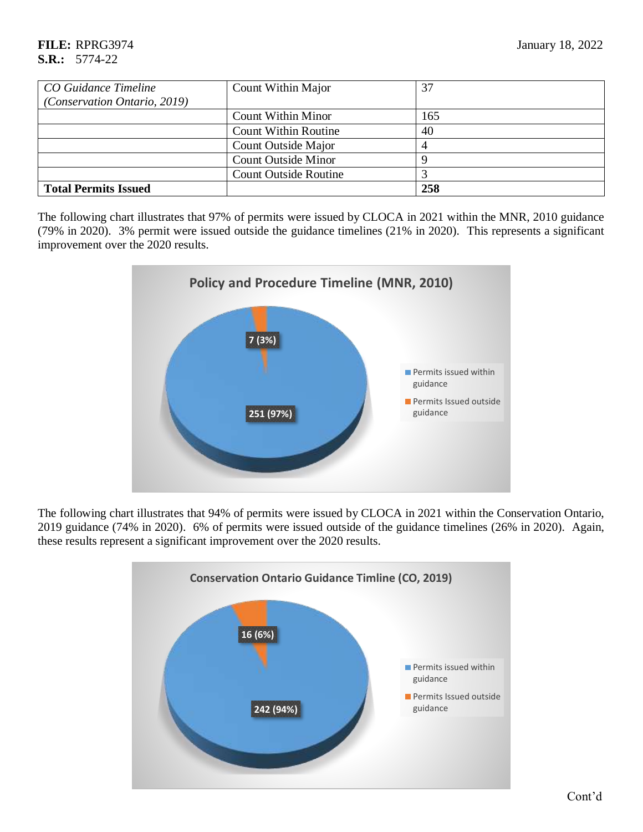| CO Guidance Timeline         | Count Within Major           | 37  |
|------------------------------|------------------------------|-----|
| (Conservation Ontario, 2019) |                              |     |
|                              | <b>Count Within Minor</b>    | 165 |
|                              | <b>Count Within Routine</b>  | 40  |
|                              | Count Outside Major          |     |
|                              | <b>Count Outside Minor</b>   |     |
|                              | <b>Count Outside Routine</b> |     |
| <b>Total Permits Issued</b>  |                              | 258 |

The following chart illustrates that 97% of permits were issued by CLOCA in 2021 within the MNR, 2010 guidance (79% in 2020). 3% permit were issued outside the guidance timelines (21% in 2020). This represents a significant improvement over the 2020 results.



The following chart illustrates that 94% of permits were issued by CLOCA in 2021 within the Conservation Ontario, 2019 guidance (74% in 2020). 6% of permits were issued outside of the guidance timelines (26% in 2020). Again, these results represent a significant improvement over the 2020 results.